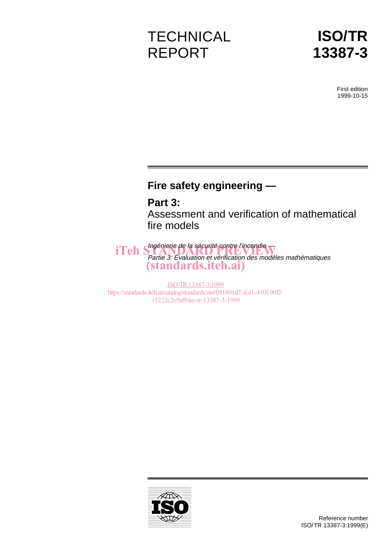# **TECHNICAL** REPORT



First edition 1999-10-15

## **Fire safety engineering —**

## **Part 3:**

Assessment and verification of mathematical fire models

iTeh Shagénierie de la sécurité contre l'incendie Partie 3: Évaluation et vérification des modèles mathématiques (standards.iteh.ai)

ISO/TR13387-3:1999 https://standards.iteh.ai/catalog/standards/sist/051801d7-fcd1-410f-90f2- 15222c2e5af9/iso-tr-13387-3-1999

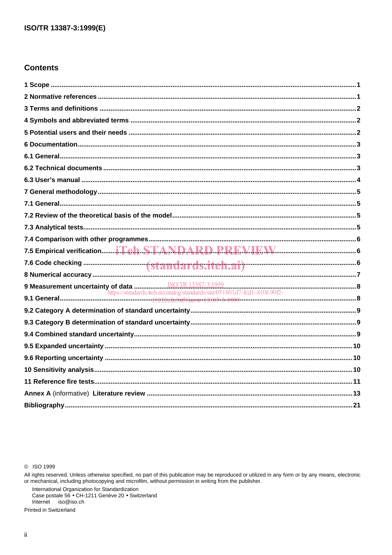## **Contents**

| 9 Measurement uncertainty of data $\frac{\text{ISO/TR 13387-3:1999}}{\text{https://standards.iteh.ai/catalog/standards/sist/051801d7-fcd1-410f-90f2-}}$ |  |
|---------------------------------------------------------------------------------------------------------------------------------------------------------|--|
|                                                                                                                                                         |  |
|                                                                                                                                                         |  |
|                                                                                                                                                         |  |
|                                                                                                                                                         |  |
|                                                                                                                                                         |  |
|                                                                                                                                                         |  |
|                                                                                                                                                         |  |
|                                                                                                                                                         |  |
|                                                                                                                                                         |  |
|                                                                                                                                                         |  |

C ISO 1999

All rights reserved. Unless otherwise specified, no part of this publication may be reproduced or utilized in any form or by any means, electronic<br>or mechanical, including photocopying and microfilm, without permission in

International Organization for Standardization<br>Case postale 56 • CH-1211 Genève 20 • Switzerland Internet iso@iso.ch

Printed in Switzerland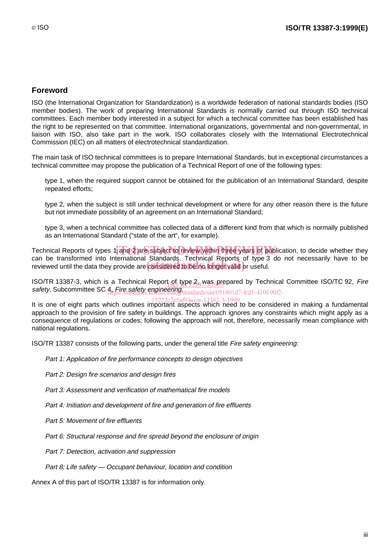### **Foreword**

ISO (the International Organization for Standardization) is a worldwide federation of national standards bodies (ISO member bodies). The work of preparing International Standards is normally carried out through ISO technical committees. Each member body interested in a subject for which a technical committee has been established has the right to be represented on that committee. International organizations, governmental and non-governmental, in liaison with ISO, also take part in the work. ISO collaborates closely with the International Electrotechnical Commission (IEC) on all matters of electrotechnical standardization.

The main task of ISO technical committees is to prepare International Standards, but in exceptional circumstances a technical committee may propose the publication of a Technical Report of one of the following types:

- type 1, when the required support cannot be obtained for the publication of an International Standard, despite repeated efforts;
- type 2, when the subject is still under technical development or where for any other reason there is the future but not immediate possibility of an agreement on an International Standard;
- type 3, when a technical committee has collected data of a different kind from that which is normally published as an International Standard ("state of the art", for example).

Technical Reports of types 1 and 2 are subject to review within three years of publication, to decide whether they can be transformed into International Standards. Technical Reports of type 3 do not necessarily have to be can be transformed into international standards. Technical Reports of type 3<br>reviewed until the data they provide are considered to be no longer valid or useful.

ISO/TR 13387-3, which is a Technical Report of type 2, was prepared by Technical Committee ISO/TC 92, Fire ISO/TR 13387-3, which is a Technical Report of World Star 13 gifts.<br>Safety, Subcommittee SC 4, Fire safety engineering.standards/sist/051 https://standards.iteh.ai/catalog/standards/sist/051801d7-fcd1-410f-90f2-

lt is one of eight parts which outlines important aspects which need to be considered in making a fundamental approach to the provision of fire safety in buildings. The approach ignores any constraints which might apply as a consequence of regulations or codes; following the approach will not, therefore, necessarily mean compliance with national regulations.

ISO/TR 13387 consists of the following parts, under the general title Fire safety engineering:

- Part 1: Application of fire performance concepts to design objectives
- Part 2: Design fire scenarios and design fires
- $-$  Part 3: Assessment and verification of mathematical fire models
- Part 4: Initiation and development of fire and generation of fire effluents
- Part 5: Movement of fire effluents
- Part 6: Structural response and fire spread beyond the enclosure of origin
- Part 7: Detection, activation and suppression
- $-$  Part 8: Life safety  $-$  Occupant behaviour, location and condition

Annex A of this part of ISO/TR 13387 is for information only.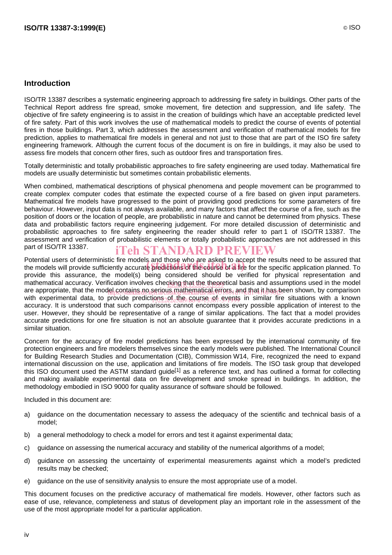### **Introduction**

ISO/TR 13387 describes a systematic engineering approach to addressing fire safety in buildings. Other parts of the Technical Report address fire spread, smoke movement, fire detection and suppression, and life safety. The objective of fire safety engineering is to assist in the creation of buildings which have an acceptable predicted level of fire safety. Part of this work involves the use of mathematical models to predict the course of events of potential fires in those buildings. Part 3, which addresses the assessment and verification of mathematical models for fire prediction, applies to mathematical fire models in general and not just to those that are part of the ISO fire safety engineering framework. Although the current focus of the document is on fire in buildings, it may also be used to assess fire models that concern other fires, such as outdoor fires and transportation fires.

Totally deterministic and totally probabilistic approaches to fire safety engineering are used today. Mathematical fire models are usually deterministic but sometimes contain probabilistic elements.

When combined, mathematical descriptions of physical phenomena and people movement can be programmed to create complex computer codes that estimate the expected course of a fire based on given input parameters. Mathematical fire models have progressed to the point of providing good predictions for some parameters of fire behaviour. However, input data is not always available, and many factors that affect the course of a fire, such as the position of doors or the location of people, are probabilistic in nature and cannot be determined from physics. These data and probabilistic factors require engineering judgement. For more detailed discussion of deterministic and probabilistic approaches to fire safety engineering the reader should refer to part 1 of ISO/TR 13387. The assessment and verification of probabilistic elements or totally probabilistic approaches are not addressed in this part of ISO/TR 13387. iTeh STANDARD PREVIEW

Potential users of deterministic fire models and those who are asked to accept the results need to be assured that Potential users of deterministic fire models and those who are asked to accept the results need to be assured that<br>the models will provide sufficiently accurate predictions of the course of a fire for the specific applicat provide this assurance, the model(s) being considered should be verified for physical representation and mathematical accuracy. Verification involves checking that the theoretical basis and assumptions used in the model are appropriate, that the model contains no serious mathematical errors, and that it has been shown, by comparison with experimental data, to provide predictions 201 the course 39f events in similar fire situations with a known accuracy. It is understood that such comparisons cannot encompass every possible application of interest to the user. However, they should be representative of a range of similar applications. The fact that a model provides accurate predictions for one fire situation is not an absolute guarantee that it provides accurate predictions in a similar situation.

Concern for the accuracy of fire model predictions has been expressed by the international community of fire protection engineers and fire modelers themselves since the early models were published. The International Council for Building Research Studies and Documentation (CIB), Commission W14, Fire, recognized the need to expand international discussion on the use, application and limitations of fire models. The ISO task group that developed this ISO document used the ASTM standard guide<sup>[1]</sup> as a reference text, and has outlined a format for collecting and making available experimental data on fire development and smoke spread in buildings. In addition, the methodology embodied in ISO 9000 for quality assurance of software should be followed.

Included in this document are:

- a) guidance on the documentation necessary to assess the adequacy of the scientific and technical basis of a model;
- b) a general methodology to check a model for errors and test it against experimental data;
- c) guidance on assessing the numerical accuracy and stability of the numerical algorithms of a model;
- d) guidance on assessing the uncertainty of experimental measurements against which a model's predicted results may be checked;
- e) guidance on the use of sensitivity analysis to ensure the most appropriate use of a model.

This document focuses on the predictive accuracy of mathematical fire models. However, other factors such as ease of use, relevance, completeness and status of development play an important role in the assessment of the use of the most appropriate model for a particular application.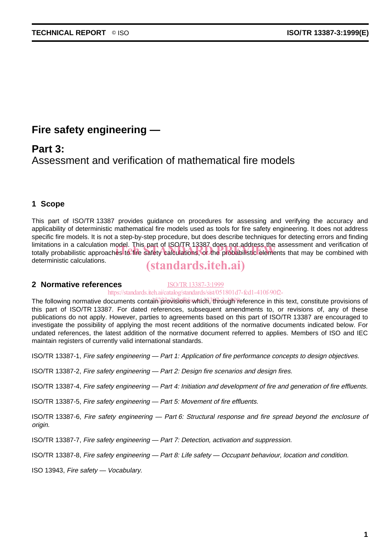## **Fire safety engineering —**

## **Part 3:**

Assessment and verification of mathematical fire models

### **1 Scope**

This part of ISO/TR 13387 provides guidance on procedures for assessing and verifying the accuracy and applicability of deterministic mathematical fire models used as tools for fire safety engineering. It does not address specific fire models. It is not a step-by-step procedure, but does describe techniques for detecting errors and finding limitations in a calculation model. This part of ISO/TR 13387 does not address the assessment and verification of limitations in a calculation model. This part of ISO/TR 13387 does not address the assessment and verification of<br>totally probabilistic approaches to fire safety calculations, or the probabilistic elements that may be comb deterministic calculations.

## (standards.iteh.ai)

### **2 Normative references**

ISO/TR13387-3:1999 https://standards.iteh.ai/catalog/standards/sist/051801d7-fcd1-410f-90f2-

The following normative documents contalin provisions which, through reference in this text, constitute provisions of this part of ISO/TR 13387. For dated references, subsequent amendments to, or revisions of, any of these publications do not apply. However, parties to agreements based on this part of ISO/TR 13387 are encouraged to investigate the possibility of applying the most recent additions of the normative documents indicated below. For undated references, the latest addition of the normative document referred to applies. Members of ISO and IEC maintain registers of currently valid international standards.

ISO/TR 13387-1, Fire safety engineering — Part 1: Application of fire performance concepts to design objectives.

ISO/TR 13387-2, Fire safety engineering — Part 2: Design fire scenarios and design fires.

ISO/TR 13387-4, Fire safety engineering — Part 4: Initiation and development of fire and generation of fire effluents.

ISO/TR 13387-5, Fire safety engineering — Part 5: Movement of fire effluents.

ISO/TR 13387-6, Fire safety engineering — Part 6: Structural response and fire spread beyond the enclosure of origin.

ISO/TR 13387-7, Fire safety engineering — Part 7: Detection, activation and suppression.

ISO/TR 13387-8, Fire safety engineering — Part 8: Life safety — Occupant behaviour, location and condition.

ISO 13943, Fire safety — Vocabulary.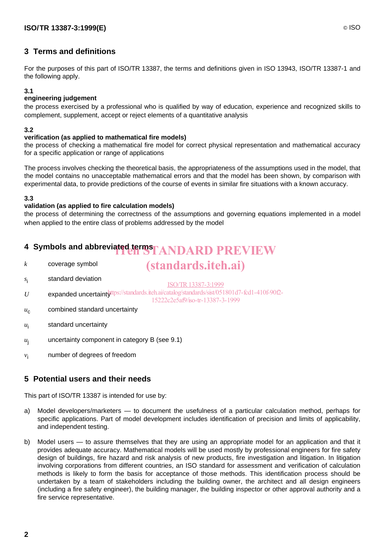### **3 Terms and definitions**

For the purposes of this part of ISO/TR 13387, the terms and definitions given in ISO 13943, ISO/TR 13387-1 and the following apply.

### **3.1**

### **engineering judgement**

the process exercised by a professional who is qualified by way of education, experience and recognized skills to complement, supplement, accept or reject elements of a quantitative analysis

#### **3.2**

### **verification (as applied to mathematical fire models)**

the process of checking a mathematical fire model for correct physical representation and mathematical accuracy for a specific application or range of applications

The process involves checking the theoretical basis, the appropriateness of the assumptions used in the model, that the model contains no unacceptable mathematical errors and that the model has been shown, by comparison with experimental data, to provide predictions of the course of events in similar fire situations with a known accuracy.

#### **3.3**

### **validation (as applied to fire calculation models)**

the process of determining the correctness of the assumptions and governing equations implemented in a model when applied to the entire class of problems addressed by the model

## **4 Symbols and abbreviated terms**  $T$  **ANDARD PREVIEW**

*k* coverage symbol

## (standards.iteh.ai)

- *s*<sup>i</sup> standard deviation
- U expanded uncertainty that standards.iteh.ai/catalog/standards/sist/051801d7-fcd1-410f-90f2-ISO/TR13387-3:1999

15222c2e5af9/iso-tr-13387-3-1999

- $u_{\rm c}$  combined standard uncertainty
- *u*<sup>i</sup> standard uncertainty
- $u_i$  uncertainty component in category B (see 9.1)
- *v*<sub>i</sub> number of degrees of freedom

### **5 Potential users and their needs**

This part of ISO/TR 13387 is intended for use by:

- a) Model developers/marketers to document the usefulness of a particular calculation method, perhaps for specific applications. Part of model development includes identification of precision and limits of applicability, and independent testing.
- b) Model users to assure themselves that they are using an appropriate model for an application and that it provides adequate accuracy. Mathematical models will be used mostly by professional engineers for fire safety design of buildings, fire hazard and risk analysis of new products, fire investigation and litigation. In litigation involving corporations from different countries, an ISO standard for assessment and verification of calculation methods is likely to form the basis for acceptance of those methods. This identification process should be undertaken by a team of stakeholders including the building owner, the architect and all design engineers (including a fire safety engineer), the building manager, the building inspector or other approval authority and a fire service representative.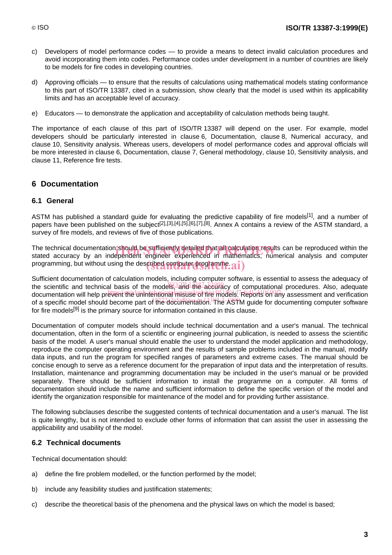- c) Developers of model performance codes to provide a means to detect invalid calculation procedures and avoid incorporating them into codes. Performance codes under development in a number of countries are likely to be models for fire codes in developing countries.
- d) Approving officials to ensure that the results of calculations using mathematical models stating conformance to this part of ISO/TR 13387, cited in a submission, show clearly that the model is used within its applicability limits and has an acceptable level of accuracy.
- e) Educators to demonstrate the application and acceptability of calculation methods being taught.

The importance of each clause of this part of ISO/TR 13387 will depend on the user. For example, model developers should be particularly interested in clause 6, Documentation, clause 8, Numerical accuracy, and clause 10, Sensitivity analysis. Whereas users, developers of model performance codes and approval officials will be more interested in clause 6, Documentation, clause 7, General methodology, clause 10, Sensitivity analysis, and clause 11, Reference fire tests.

### **6 Documentation**

### **6.1 General**

ASTM has published a standard quide for evaluating the predictive capability of fire models<sup>[1]</sup>, and a number of papers have been published on the subject<sup>[2],[3],[4],[5],[6],[7],[8]</sup>. Annex A contains a review of the ASTM standard, a survey of fire models, and reviews of five of those publications.

The technical documentation should be sufficiently detailed that all calculation results can be reproduced within the<br>stated accuracy by an independent engineer experienced in mathematics. numerical analysis and computer stated accuracy by an independent engineer experienced in mathematics, numerical analysis and computer programming, but without using the described computer programme.  $\mathbf{ai})$ 

Sufficient documentation of calculation models, including computer software, is essential to assess the adequacy of the scientific and technical basis of the models, and the accuracy of computational procedures. Also, adequate documentation will help prevent the unintentional misuse of fire models! Reports on any assessment and verification of a specific model should become part of the documentation.<sup>34</sup>The ASTM guide for documenting computer software for fire models<sup>[9]</sup> is the primary source for information contained in this clause.

Documentation of computer models should include technical documentation and a user's manual. The technical documentation, often in the form of a scientific or engineering journal publication, is needed to assess the scientific basis of the model. A user's manual should enable the user to understand the model application and methodology, reproduce the computer operating environment and the results of sample problems included in the manual, modify data inputs, and run the program for specified ranges of parameters and extreme cases. The manual should be concise enough to serve as a reference document for the preparation of input data and the interpretation of results. Installation, maintenance and programming documentation may be included in the user's manual or be provided separately. There should be sufficient information to install the programme on a computer. All forms of documentation should include the name and sufficient information to define the specific version of the model and identify the organization responsible for maintenance of the model and for providing further assistance.

The following subclauses describe the suggested contents of technical documentation and a user's manual. The list is quite lengthy, but is not intended to exclude other forms of information that can assist the user in assessing the applicability and usability of the model.

### **6.2 Technical documents**

Technical documentation should:

- a) define the fire problem modelled, or the function performed by the model;
- b) include any feasibility studies and justification statements;
- c) describe the theoretical basis of the phenomena and the physical laws on which the model is based;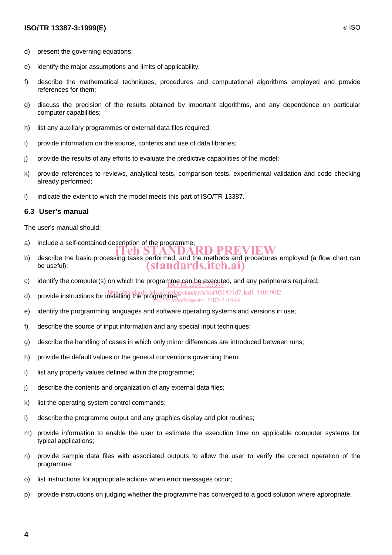### **ISO/TR 13387-3:1999(E)** © ISO

- d) present the governing equations;
- e) identify the major assumptions and limits of applicability;
- f) describe the mathematical techniques, procedures and computational algorithms employed and provide references for them;
- g) discuss the precision of the results obtained by important algorithms, and any dependence on particular computer capabilities;
- h) list any auxiliary programmes or external data files required;
- i) provide information on the source, contents and use of data libraries;
- j) provide the results of any efforts to evaluate the predictive capabilities of the model;
- k) provide references to reviews, analytical tests, comparison tests, experimental validation and code checking already performed;
- l) indicate the extent to which the model meets this part of ISO/TR 13387.

### **6.3 User's manual**

The user's manual should:

- a) include a self-contained description of the programme;
- describe the basic processing tasks performed, and the methods and procedures employed (a flow chart can<br>b) describe the basic processing tasks performed, and the methods and procedures employed (a flow chart can be useful); (standards.iteh.ai)
- c) identify the computer(s) on which the programme can be executed, and any peripherals required;
- d) provide instructions for installing the programme; notice that is also provide instructions for installing the programme; notice the 12287 2, 1000
- 15222c2e5af9/iso-tr-13387-3-1999
- e) identify the programming languages and software operating systems and versions in use;
- f) describe the source of input information and any special input techniques;
- g) describe the handling of cases in which only minor differences are introduced between runs;
- h) provide the default values or the general conventions governing them;
- i) list any property values defined within the programme;
- j) describe the contents and organization of any external data files;
- k) list the operating-system control commands;
- l) describe the programme output and any graphics display and plot routines;
- m) provide information to enable the user to estimate the execution time on applicable computer systems for typical applications;
- n) provide sample data files with associated outputs to allow the user to verify the correct operation of the programme;
- o) list instructions for appropriate actions when error messages occur;
- p) provide instructions on judging whether the programme has converged to a good solution where appropriate.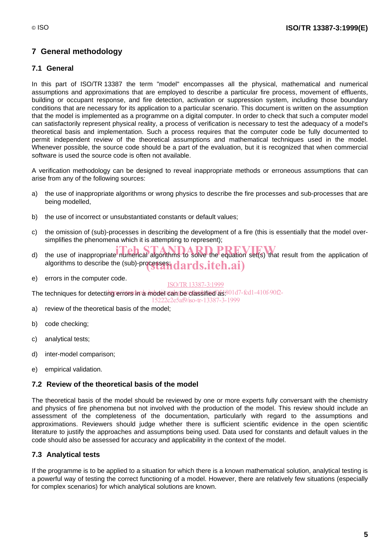## **7 General methodology**

### **7.1 General**

In this part of ISO/TR 13387 the term "model" encompasses all the physical, mathematical and numerical assumptions and approximations that are employed to describe a particular fire process, movement of effluents, building or occupant response, and fire detection, activation or suppression system, including those boundary conditions that are necessary for its application to a particular scenario. This document is written on the assumption that the model is implemented as a programme on a digital computer. In order to check that such a computer model can satisfactorily represent physical reality, a process of verification is necessary to test the adequacy of a model's theoretical basis and implementation. Such a process requires that the computer code be fully documented to permit independent review of the theoretical assumptions and mathematical techniques used in the model. Whenever possible, the source code should be a part of the evaluation, but it is recognized that when commercial software is used the source code is often not available.

A verification methodology can be designed to reveal inappropriate methods or erroneous assumptions that can arise from any of the following sources:

- a) the use of inappropriate algorithms or wrong physics to describe the fire processes and sub-processes that are being modelled,
- b) the use of incorrect or unsubstantiated constants or default values;
- c) the omission of (sub)-processes in describing the development of a fire (this is essentially that the model oversimplifies the phenomena which it is attempting to represent);
- d) the use of inappropriate numerical algorithms to solve the equation set(s) that result from the application of algorithms to describe the (sub)-processes indards.itch.ai)
- e) errors in the computer code.

ISO/TR13387-3:1999

The techniques for detecting errors in a model can be olassified as 801d7-fcd1-410f-90f2-

15222c2e5af9/iso-tr-13387-3-1999

- a) review of the theoretical basis of the model;
- b) code checking;
- c) analytical tests;
- d) inter-model comparison;
- e) empirical validation.

## **7.2 Review of the theoretical basis of the model**

The theoretical basis of the model should be reviewed by one or more experts fully conversant with the chemistry and physics of fire phenomena but not involved with the production of the model. This review should include an assessment of the completeness of the documentation, particularly with regard to the assumptions and approximations. Reviewers should judge whether there is sufficient scientific evidence in the open scientific literature to justify the approaches and assumptions being used. Data used for constants and default values in the code should also be assessed for accuracy and applicability in the context of the model.

## **7.3 Analytical tests**

If the programme is to be applied to a situation for which there is a known mathematical solution, analytical testing is a powerful way of testing the correct functioning of a model. However, there are relatively few situations (especially for complex scenarios) for which analytical solutions are known.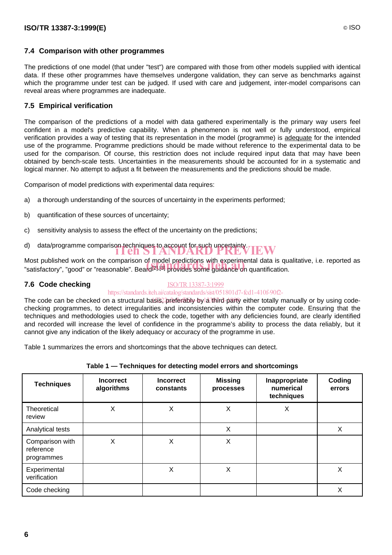### **7.4 Comparison with other programmes**

The predictions of one model (that under "test") are compared with those from other models supplied with identical data. If these other programmes have themselves undergone validation, they can serve as benchmarks against which the programme under test can be judged. If used with care and judgement, inter-model comparisons can reveal areas where programmes are inadequate.

### **7.5 Empirical verification**

The comparison of the predictions of a model with data gathered experimentally is the primary way users feel confident in a model's predictive capability. When a phenomenon is not well or fully understood, empirical verification provides a way of testing that its representation in the model (programme) is adequate for the intended use of the programme. Programme predictions should be made without reference to the experimental data to be used for the comparison. Of course, this restriction does not include required input data that may have been obtained by bench-scale tests. Uncertainties in the measurements should be accounted for in a systematic and logical manner. No attempt to adjust a fit between the measurements and the predictions should be made.

Comparison of model predictions with experimental data requires:

- a) a thorough understanding of the sources of uncertainty in the experiments performed;
- b) quantification of these sources of uncertainty;
- c) sensitivity analysis to assess the effect of the uncertainty on the predictions;
- d) data/programme comparison techniques to account for such uncertainty.<br> **interview**<br> **interview**

Most published work on the comparison of model predictions with experimental data is qualitative, i.e. reported as Most published work on the comparison of model predictions with experimental data is qu<br>"satisfactory", "good" or "reasonable". Beard<sup>[2],[3]</sup> provides some guidance on quantification.

### **7.6 Code checking**

### ISO/TR13387-3:1999

### https://standards.iteh.ai/catalog/standards/sist/051801d7-fcd1-410f-90f2-

The code can be checked on a structural basis? preferably-by a third-party either totally manually or by using codechecking programmes, to detect irregularities and inconsistencies within the computer code. Ensuring that the techniques and methodologies used to check the code, together with any deficiencies found, are clearly identified and recorded will increase the level of confidence in the programme's ability to process the data reliably, but it cannot give any indication of the likely adequacy or accuracy of the programme in use.

Table 1 summarizes the errors and shortcomings that the above techniques can detect.

| <b>Techniques</b>                          | <b>Incorrect</b><br>algorithms | <b>Incorrect</b><br>constants | <b>Missing</b><br>processes | Inappropriate<br>numerical<br>techniques | Coding<br>errors |
|--------------------------------------------|--------------------------------|-------------------------------|-----------------------------|------------------------------------------|------------------|
| Theoretical<br>review                      | X                              | X                             | Χ                           | X                                        |                  |
| Analytical tests                           |                                |                               | X                           |                                          | X                |
| Comparison with<br>reference<br>programmes | X                              | X                             | Χ                           |                                          |                  |
| Experimental<br>verification               |                                | X                             | Χ                           |                                          | Χ                |
| Code checking                              |                                |                               |                             |                                          | Χ                |

|  |  |  |  | Table 1 - Techniques for detecting model errors and shortcomings |
|--|--|--|--|------------------------------------------------------------------|
|--|--|--|--|------------------------------------------------------------------|